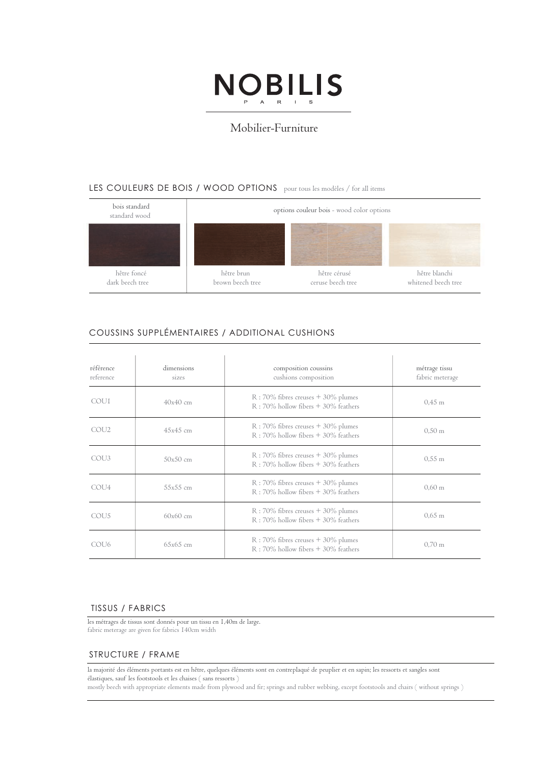

# Mobilier-Furniture

## LES COULEURS DE BOIS / WOOD OPTIONS pour tous les modèles / for all items



# COUSSINS SUPPLÉMENTAIRES / ADDITIONAL CUSHIONS

| référence<br>reference | dimensions<br>sizes | composition coussins<br>cushions composition                                       | métrage tissu<br>fabric meterage |
|------------------------|---------------------|------------------------------------------------------------------------------------|----------------------------------|
| COU1                   | $40x40$ cm          | $R:70\%$ fibres creuses $+30\%$ plumes<br>R: 70% hollow fibers + 30% feathers      | $0.45 \text{ m}$                 |
| COU <sub>2</sub>       | $45x45$ cm          | $R$ : 70% fibres creuses $+$ 30% plumes<br>$R:70\%$ hollow fibers $+30\%$ feathers | $0.50 \text{ m}$                 |
| COU <sub>3</sub>       | $50x50$ cm          | $R:70\%$ fibres creuses $+30\%$ plumes<br>R: 70% hollow fibers + 30% feathers      | $0.55 \; \mathrm{m}$             |
| COU4                   | $55x55$ cm          | $R:70\%$ fibres creuses $+30\%$ plumes<br>R: 70% hollow fibers + 30% feathers      | $0,60 \; \mathrm{m}$             |
| COU <sub>5</sub>       | $60x60$ cm          | $R$ : 70% fibres creuses + 30% plumes<br>$R:70\%$ hollow fibers $+30\%$ feathers   | $0.65 \; \mathrm{m}$             |
| COU <sub>6</sub>       | $65x65$ cm          | $R:70\%$ fibres creuses $+30\%$ plumes<br>R: 70% hollow fibers + 30% feathers      | $0.70 \text{ m}$                 |

#### TISSUS / FABRICS

les métrages de tissus sont donnés pour un tissu en 1,40m de large. fabric meterage are given for fabrics 140cm width

### STRUCTURE / FRAME

la majorité des éléments portants est en hêtre, quelques éléments sont en contreplaqué de peuplier et en sapin; les ressorts et sangles sont élastiques, sauf les footstools et les chaises ( sans ressorts )

mostly beech with appropriate elements made from plywood and fir; springs and rubber webbing, except footstools and chairs ( without springs )